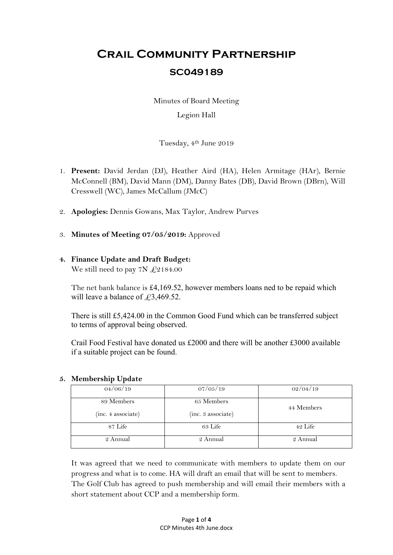# **Crail Community Partnership SC049189**

Minutes of Board Meeting

## Legion Hall

Tuesday, 4th June 2019

- 1. **Present:** David Jerdan (DJ), Heather Aird (HA), Helen Armitage (HAr), Bernie McConnell (BM), David Mann (DM), Danny Bates (DB), David Brown (DBrn), Will Cresswell (WC), James McCallum (JMcC)
- 2. **Apologies:** Dennis Gowans, Max Taylor, Andrew Purves
- 3. **Minutes of Meeting 07/05/2019:** Approved

## **4. Finance Update and Draft Budget:** We still need to pay 7N  $\text{\textsterling}2184.00$

The net bank balance is £4,169.52, however members loans ned to be repaid which will leave a balance of  $\text{\textsterling}3,469.52$ .

There is still £5,424.00 in the Common Good Fund which can be transferred subject to terms of approval being observed.

Crail Food Festival have donated us  $£2000$  and there will be another £3000 available if a suitable project can be found.

## **5. Membership Update**

| 04/06/19           | 07/05/19           | 02/04/19   |
|--------------------|--------------------|------------|
| 89 Members         | 65 Members         | 44 Members |
| (inc. 4 associate) | (inc. 3 associate) |            |
| 87 Life            | 63 Life            | 42 Life    |
| 2 Annual           | 2 Annual           | 2 Annual   |

It was agreed that we need to communicate with members to update them on our progress and what is to come. HA will draft an email that will be sent to members. The Golf Club has agreed to push membership and will email their members with a short statement about CCP and a membership form.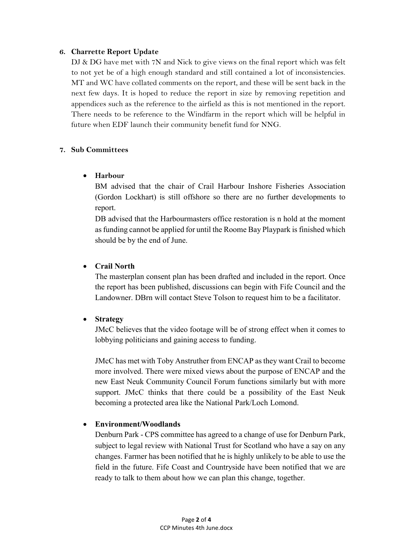#### **6. Charrette Report Update**

DJ & DG have met with 7N and Nick to give views on the final report which was felt to not yet be of a high enough standard and still contained a lot of inconsistencies. MT and WC have collated comments on the report, and these will be sent back in the next few days. It is hoped to reduce the report in size by removing repetition and appendices such as the reference to the airfield as this is not mentioned in the report. There needs to be reference to the Windfarm in the report which will be helpful in future when EDF launch their community benefit fund for NNG.

## **7. Sub Committees**

#### **Harbour**

BM advised that the chair of Crail Harbour Inshore Fisheries Association (Gordon Lockhart) is still offshore so there are no further developments to report.

DB advised that the Harbourmasters office restoration is n hold at the moment as funding cannot be applied for until the Roome Bay Playpark is finished which should be by the end of June.

## **Crail North**

The masterplan consent plan has been drafted and included in the report. Once the report has been published, discussions can begin with Fife Council and the Landowner. DBrn will contact Steve Tolson to request him to be a facilitator.

## **Strategy**

JMcC believes that the video footage will be of strong effect when it comes to lobbying politicians and gaining access to funding.

JMcC has met with Toby Anstruther from ENCAP as they want Crail to become more involved. There were mixed views about the purpose of ENCAP and the new East Neuk Community Council Forum functions similarly but with more support. JMcC thinks that there could be a possibility of the East Neuk becoming a protected area like the National Park/Loch Lomond.

## **Environment/Woodlands**

Denburn Park - CPS committee has agreed to a change of use for Denburn Park, subject to legal review with National Trust for Scotland who have a say on any changes. Farmer has been notified that he is highly unlikely to be able to use the field in the future. Fife Coast and Countryside have been notified that we are ready to talk to them about how we can plan this change, together.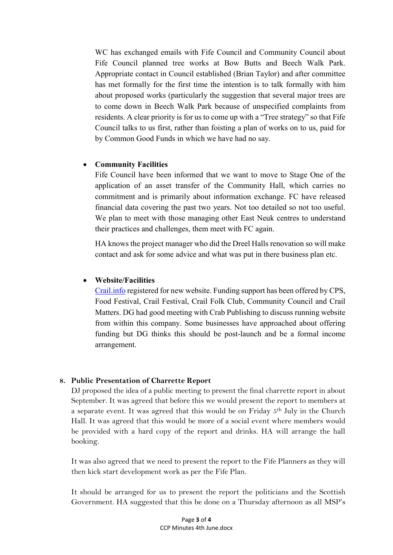WC has exchanged emails with Fife Council and Community Council about Fife Council planned tree works at Bow Butts and Beech Walk Park. Appropriate contact in Council established (Brian Taylor) and after committee has met formally for the first time the intention is to talk formally with him about proposed works (particularly the suggestion that several major trees are to come down in Beech Walk Park because of unspecified complaints from residents. A clear priority is for us to come up with a "Tree strategy" so that Fife Council talks to us first, rather than foisting a plan of works on to us, paid for by Common Good Funds in which we have had no say.

## **Community Facilities**

Fife Council have been informed that we want to move to Stage One of the application of an asset transfer of the Community Hall, which carries no commitment and is primarily about information exchange. FC have released financial data covering the past two years. Not too detailed so not too useful. We plan to meet with those managing other East Neuk centres to understand their practices and challenges, them meet with FC again.

HA knows the project manager who did the Dreel Halls renovation so will make contact and ask for some advice and what was put in there business plan etc.

#### **Website/Facilities**

Crail.info registered for new website. Funding support has been offered by CPS, Food Festival, Crail Festival, Crail Folk Club, Community Council and Crail Matters. DG had good meeting with Crab Publishing to discuss running website from within this company. Some businesses have approached about offering funding but DG thinks this should be post-launch and be a formal income arrangement.

## **8. Public Presentation of Charrette Report**

DJ proposed the idea of a public meeting to present the final charrette report in about September. It was agreed that before this we would present the report to members at a separate event. It was agreed that this would be on Friday 5th July in the Church Hall. It was agreed that this would be more of a social event where members would be provided with a hard copy of the report and drinks. HA will arrange the hall booking.

It was also agreed that we need to present the report to the Fife Planners as they will then kick start development work as per the Fife Plan.

It should be arranged for us to present the report the politicians and the Scottish Government. HA suggested that this be done on a Thursday afternoon as all MSP's